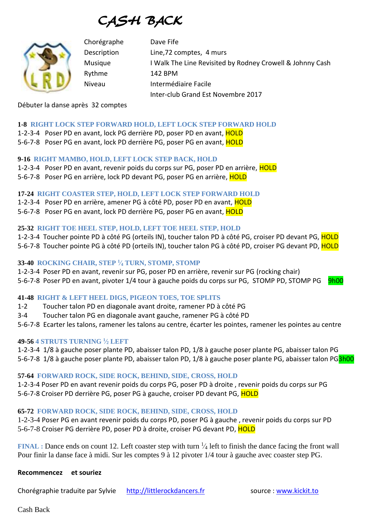CASH BACK



Chorégraphe Dave Fife Description Line,72 comptes, 4 murs Musique I Walk The Line Revisited by Rodney Crowell & Johnny Cash Rythme 142 BPM Niveau Intermédiaire Facile Inter-club Grand Est Novembre 2017

Débuter la danse après 32 comptes

#### **1-8 RIGHT LOCK STEP FORWARD HOLD, LEFT LOCK STEP FORWARD HOLD**

1-2-3-4 Poser PD en avant, lock PG derrière PD, poser PD en avant, HOLD 5-6-7-8 Poser PG en avant, lock PD derrière PG, poser PG en avant, HOLD

**9-16 RIGHT MAMBO, HOLD, LEFT LOCK STEP BACK, HOLD** 1-2-3-4 Poser PD en avant, revenir poids du corps sur PG, poser PD en arrière, HOLD 5-6-7-8 Poser PG en arrière, lock PD devant PG, poser PG en arrière, HOLD

**17-24 RIGHT COASTER STEP, HOLD, LEFT LOCK STEP FORWARD HOLD** 1-2-3-4 Poser PD en arrière, amener PG à côté PD, poser PD en avant, HOLD 5-6-7-8 Poser PG en avant, lock PD derrière PG, poser PG en avant, HOLD

### **25-32 RIGHT TOE HEEL STEP, HOLD, LEFT TOE HEEL STEP, HOLD**

1-2-3-4 Toucher pointe PD à côté PG (orteils IN), toucher talon PD à côté PG, croiser PD devant PG, HOLD 5-6-7-8 Toucher pointe PG à côté PD (orteils IN), toucher talon PG à côté PD, croiser PG devant PD, HOLD

#### **33-40 ROCKING CHAIR, STEP <sup>1</sup> ⁄<sup>4</sup> TURN, STOMP, STOMP**

1-2-3-4 Poser PD en avant, revenir sur PG, poser PD en arrière, revenir sur PG (rocking chair)

5-6-7-8 Poser PD en avant, pivoter 1/4 tour à gauche poids du corps sur PG, STOMP PD, STOMP PG 9h00

## **41-48 RIGHT & LEFT HEEL DIGS, PIGEON TOES, TOE SPLITS**

1-2 Toucher talon PD en diagonale avant droite, ramener PD à côté PG

3-4 Toucher talon PG en diagonale avant gauche, ramener PG à côté PD

5-6-7-8 Ecarter les talons, ramener les talons au centre, écarter les pointes, ramener les pointes au centre

### **49-56 4 STRUTS TURNING <sup>1</sup> ⁄<sup>2</sup> LEFT**

1-2-3-4 1/8 à gauche poser plante PD, abaisser talon PD, 1/8 à gauche poser plante PG, abaisser talon PG 5-6-7-8 1/8 à gauche poser plante PD, abaisser talon PD, 1/8 à gauche poser plante PG, abaisser talon PG3h00

### **57-64 FORWARD ROCK, SIDE ROCK, BEHIND, SIDE, CROSS, HOLD**

1-2-3-4 Poser PD en avant revenir poids du corps PG, poser PD à droite , revenir poids du corps sur PG 5-6-7-8 Croiser PD derrière PG, poser PG à gauche, croiser PD devant PG, HOLD

### **65-72 FORWARD ROCK, SIDE ROCK, BEHIND, SIDE, CROSS, HOLD**

1-2-3-4 Poser PG en avant revenir poids du corps PD, poser PG à gauche , revenir poids du corps sur PD 5-6-7-8 Croiser PG derrière PD, poser PD à droite, croiser PG devant PD, HOLD

**FINAL** : Dance ends on count 12. Left coaster step with turn  $\frac{1}{4}$  left to finish the dance facing the front wall Pour finir la danse face à midi. Sur les comptes 9 à 12 pivoter 1/4 tour à gauche avec coaster step PG.

#### **Recommencez et souriez**

Chorégraphie traduite par Sylvie [http://littlerockdancers.fr](http://littlerockdancers.fr/) source : [www.kickit.to](http://www.kickit.to/)

Cash Back